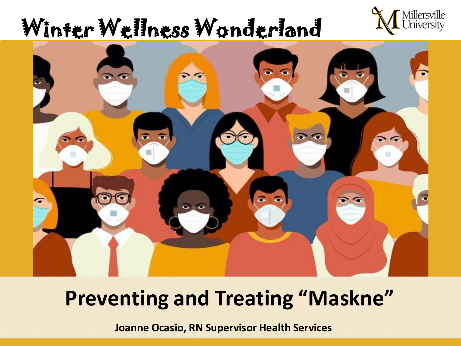# Winter Wellness Wonderland





## **Preventing and Treating "Maskne"**

**Joanne Ocasio, RN Supervisor Health Services**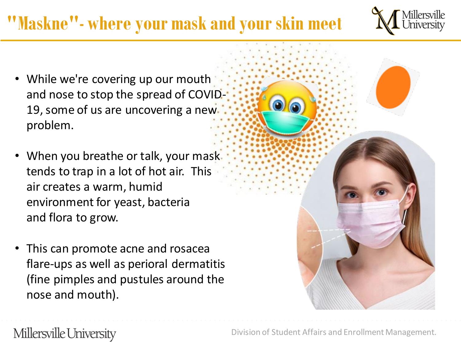# **"Maskne"- where your mask and your skin meet**



- While we're covering up our mouth and nose to stop the spread of COVID-19, some of us are uncovering a new problem.
- When you breathe or talk, your mask tends to trap in a lot of hot air. This air creates a warm, humid environment for yeast, bacteria and flora to grow.
- This can promote acne and rosacea flare-ups as well as perioral dermatitis (fine pimples and pustules around the nose and mouth).



Millersville University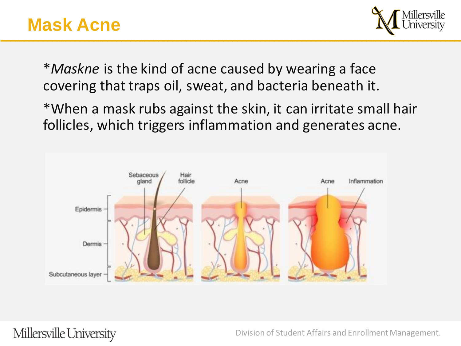### **Mask Acne**



\**Maskne* is the kind of acne caused by wearing a face covering that traps oil, sweat, and bacteria beneath it.

\*When a mask rubs against the skin, it can irritate small hair follicles, which triggers inflammation and generates acne.



Millersville University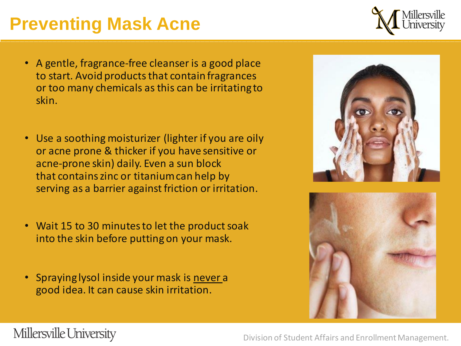#### Millersville University

Division of Student Affairs and Enrollment Management.

## **Preventing Mask Acne**

- A gentle, fragrance-free cleanser is a good place to start. Avoid products that contain fragrances or too many chemicals as this can be irritating to skin.
- Use a soothing moisturizer (lighter if you are oily or acne prone & thicker if you have sensitive or acne-prone skin) daily. Even a sun block that contains zinc or titanium can help by serving as a barrier against friction or irritation.
- Wait 15 to 30 minutes to let the product soak into the skin before putting on your mask.
- Spraying lysol inside your mask is never a good idea. It can cause skin irritation.





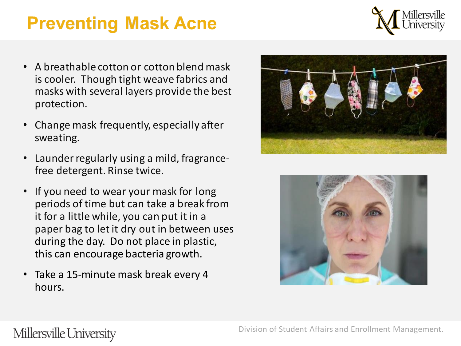## **Preventing Mask Acne**



- A breathable cotton or cotton blend mask is cooler. Though tight weave fabrics and masks with several layers provide the best protection.
- Change mask frequently, especially after sweating.
- Launder regularly using a mild, fragrancefree detergent. Rinse twice.
- If you need to wear your mask for long periods of time but can take a break from it for a little while, you can put it in a paper bag to let it dry out in between uses during the day. Do not place in plastic, this can encourage bacteria growth.
- Take a 15-minute mask break every 4 hours.





#### Millersville University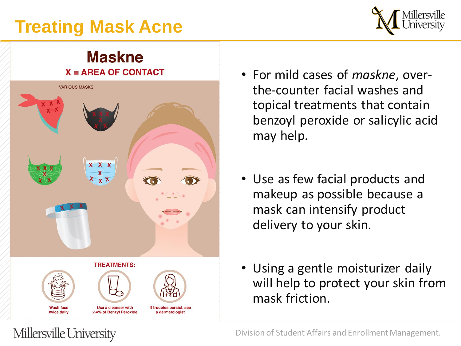## **Treating Mask Acne**



#### **Maskne**  $X = AREA OF CONTACT$



Millersville University

- For mild cases of *maskne*, overthe-counter facial washes and topical treatments that contain benzoyl peroxide or salicylic acid may help.
- Use as few facial products and makeup as possible because a mask can intensify product delivery to your skin.
- Using a gentle moisturizer daily will help to protect your skin from mask friction.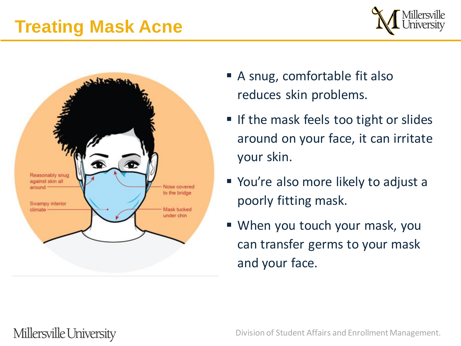## **Treating Mask Acne**





- A snug, comfortable fit also reduces skin problems.
- If the mask feels too tight or slides around on your face, it can irritate your skin.
- You're also more likely to adjust a poorly fitting mask.
- When you touch your mask, you can transfer germs to your mask and your face.

#### Millersville University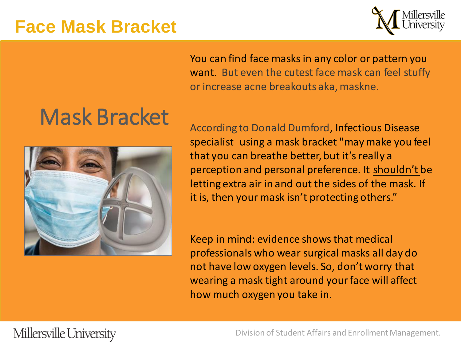#### **Face Mask Bracket**



You can find face masks in any color or pattern you want. But even the cutest face mask can feel stuffy or increase acne breakouts aka, maskne.

# Mask Bracket



According to Donald Dumford, Infectious Disease specialist using a mask bracket "may make you feel that you can breathe better, but it's really a perception and personal preference. It shouldn't be letting extra air in and out the sides of the mask. If it is, then your mask isn't protecting others."

Keep in mind: evidence shows that medical professionals who wear surgical masks all day do not have low oxygen levels. So, don't worry that wearing a mask tight around your face will affect how much oxygen you take in.

#### Millersville University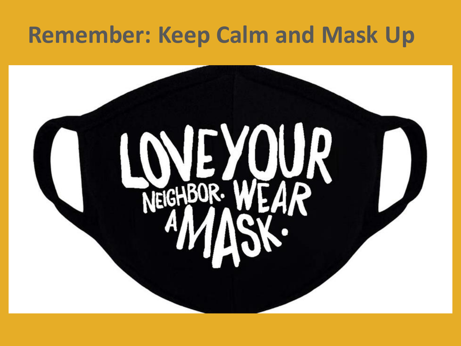# **Remember: Keep Calm and Mask Up**

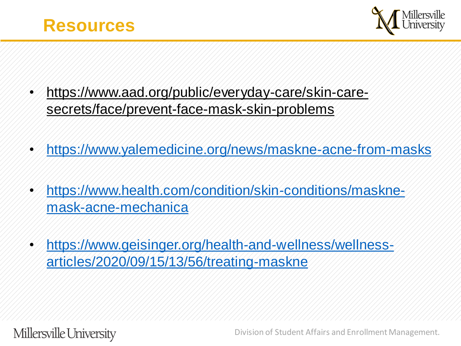



- [https://www.aad.org/public/everyday-care/skin-care](https://www.aad.org/public/everyday-care/skin-care-secrets/face/prevent-face-mask-skin-problems)secrets/face/prevent-face-mask-skin-problems
- <https://www.yalemedicine.org/news/maskne-acne-from-masks>
- [https://www.health.com/condition/skin-conditions/maskne](https://www.health.com/condition/skin-conditions/maskne-mask-acne-mechanica)mask-acne-mechanica
- [https://www.geisinger.org/health-and-wellness/wellness](https://www.geisinger.org/health-and-wellness/wellness-articles/2020/09/15/13/56/treating-maskne)articles/2020/09/15/13/56/treating-maskne

Millersville University